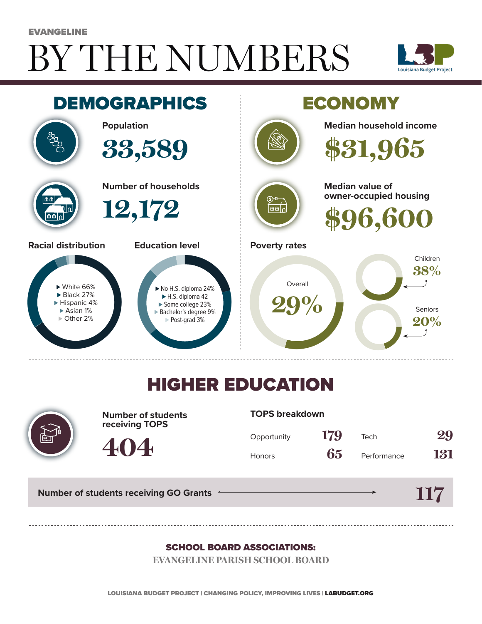# BY THE NUMBERS EVANGELINE





## HIGHER EDUCATION



**Number of students receiving TOPS**

#### **TOPS breakdown**

| Opportunity   | 179 | Tech        | 29  |
|---------------|-----|-------------|-----|
| <b>Honors</b> | 65  | Performance | 131 |

**Number of students receiving GO Grants**

**404**

#### **117**

#### SCHOOL BOARD ASSOCIATIONS:

**EVANGELINE PARISH SCHOOL BOARD**